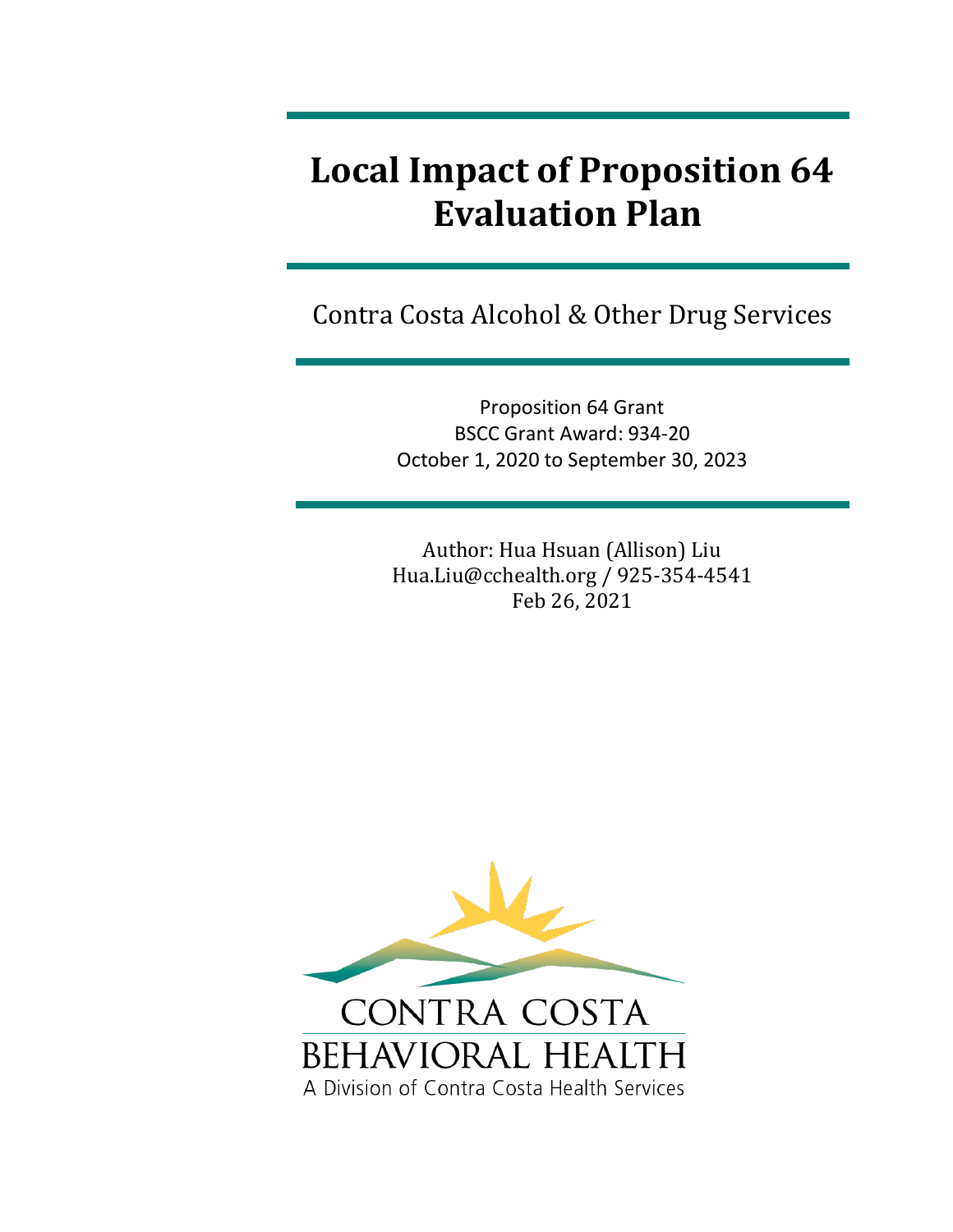# **Local Impact of Proposition 64 Evaluation Plan**

Contra Costa Alcohol & Other Drug Services

Proposition 64 Grant BSCC Grant Award: 934-20 October 1, 2020 to September 30, 2023

Author: Hua Hsuan (Allison) Liu Hua.Liu@cchealth.org / 925-354-4541 Feb 26, 2021

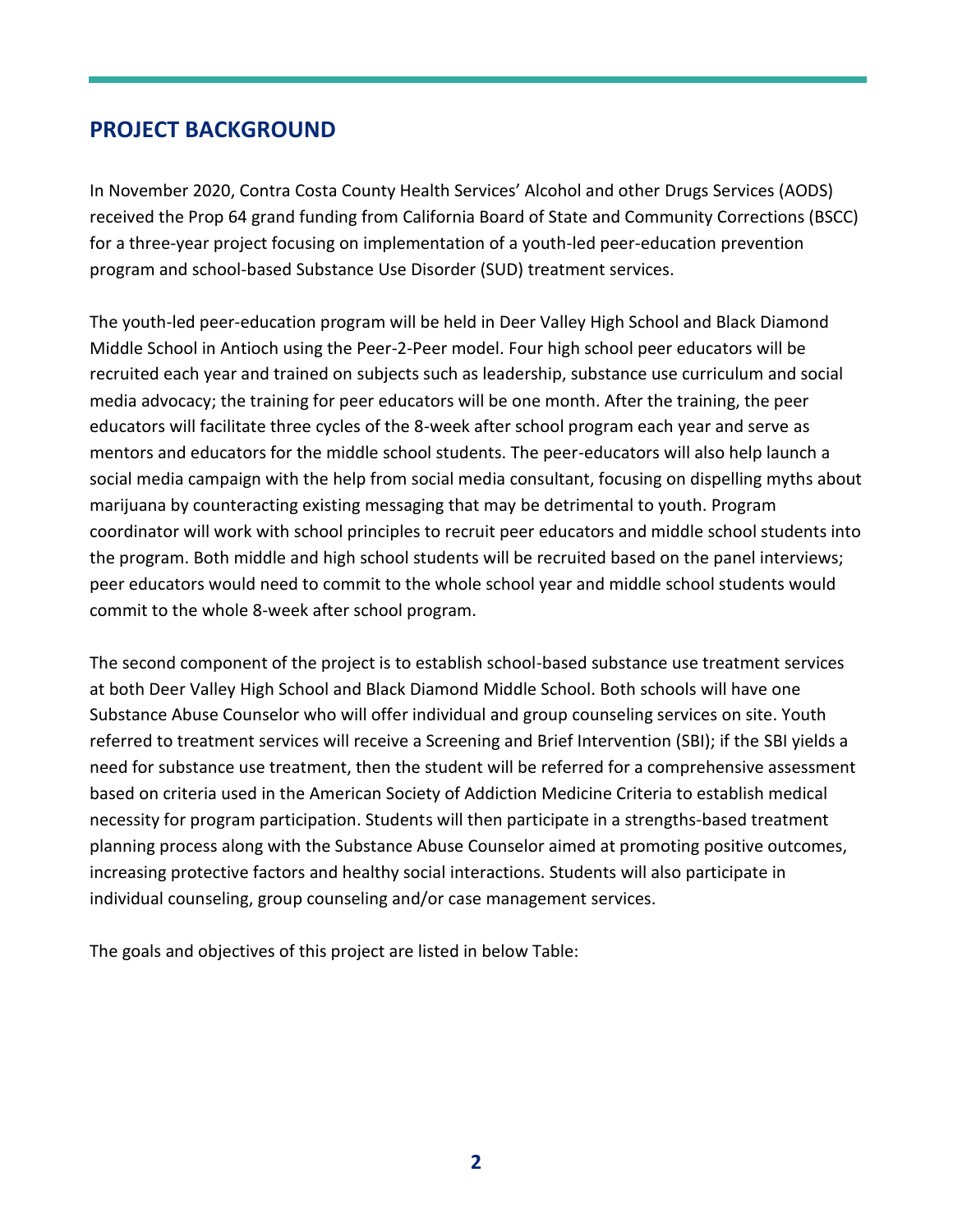# **PROJECT BACKGROUND**

In November 2020, Contra Costa County Health Services' Alcohol and other Drugs Services (AODS) received the Prop 64 grand funding from California Board of State and Community Corrections (BSCC) for a three-year project focusing on implementation of a youth-led peer-education prevention program and school-based Substance Use Disorder (SUD) treatment services.

The youth-led peer-education program will be held in Deer Valley High School and Black Diamond Middle School in Antioch using the Peer-2-Peer model. Four high school peer educators will be recruited each year and trained on subjects such as leadership, substance use curriculum and social media advocacy; the training for peer educators will be one month. After the training, the peer educators will facilitate three cycles of the 8-week after school program each year and serve as mentors and educators for the middle school students. The peer-educators will also help launch a social media campaign with the help from social media consultant, focusing on dispelling myths about marijuana by counteracting existing messaging that may be detrimental to youth. Program coordinator will work with school principles to recruit peer educators and middle school students into the program. Both middle and high school students will be recruited based on the panel interviews; peer educators would need to commit to the whole school year and middle school students would commit to the whole 8-week after school program.

The second component of the project is to establish school-based substance use treatment services at both Deer Valley High School and Black Diamond Middle School. Both schools will have one Substance Abuse Counselor who will offer individual and group counseling services on site. Youth referred to treatment services will receive a Screening and Brief Intervention (SBI); if the SBI yields a need for substance use treatment, then the student will be referred for a comprehensive assessment based on criteria used in the American Society of Addiction Medicine Criteria to establish medical necessity for program participation. Students will then participate in a strengths-based treatment planning process along with the Substance Abuse Counselor aimed at promoting positive outcomes, increasing protective factors and healthy social interactions. Students will also participate in individual counseling, group counseling and/or case management services.

The goals and objectives of this project are listed in below Table: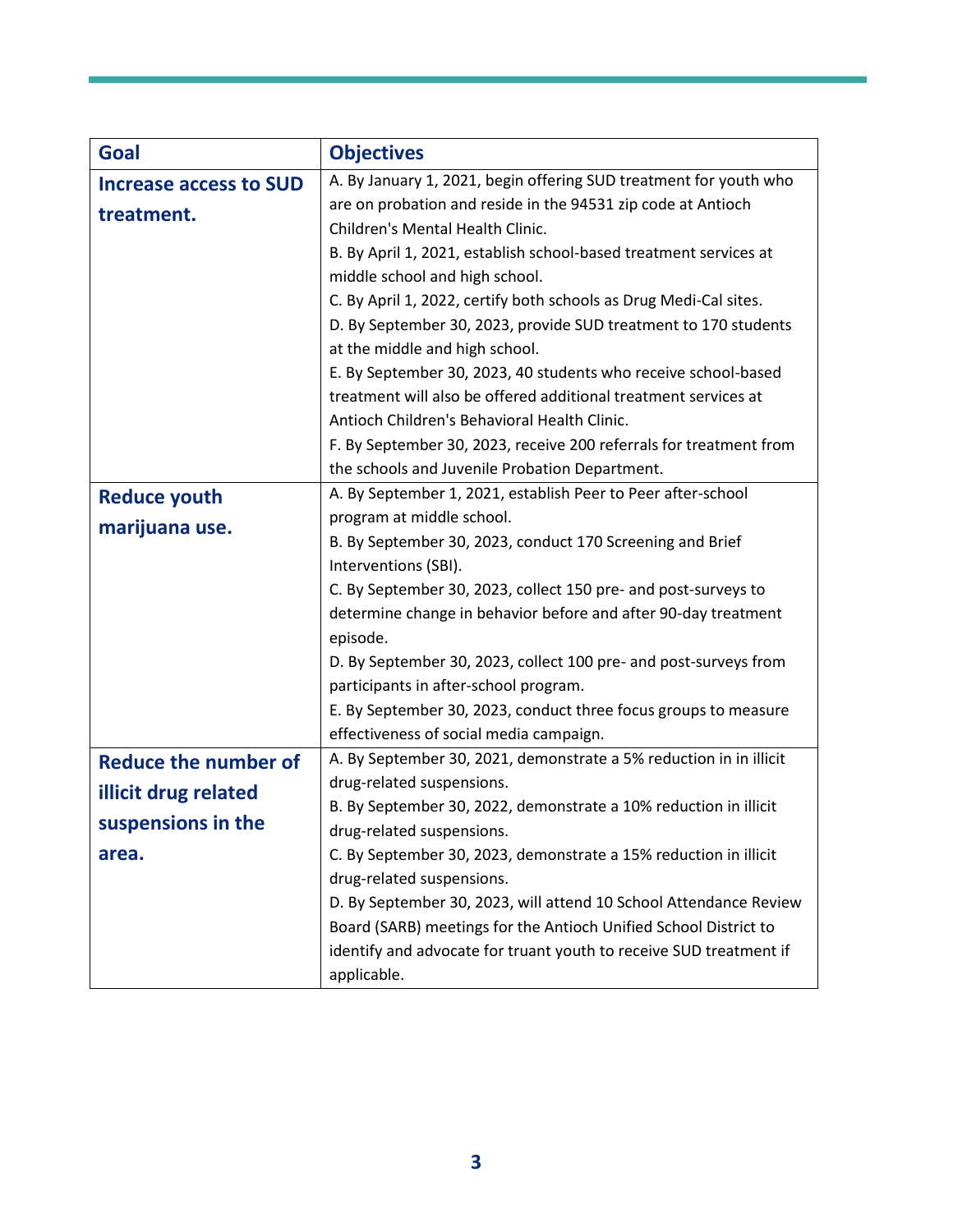| Goal                          | <b>Objectives</b>                                                  |
|-------------------------------|--------------------------------------------------------------------|
| <b>Increase access to SUD</b> | A. By January 1, 2021, begin offering SUD treatment for youth who  |
| treatment.                    | are on probation and reside in the 94531 zip code at Antioch       |
|                               | Children's Mental Health Clinic.                                   |
|                               | B. By April 1, 2021, establish school-based treatment services at  |
|                               | middle school and high school.                                     |
|                               | C. By April 1, 2022, certify both schools as Drug Medi-Cal sites.  |
|                               | D. By September 30, 2023, provide SUD treatment to 170 students    |
|                               | at the middle and high school.                                     |
|                               | E. By September 30, 2023, 40 students who receive school-based     |
|                               | treatment will also be offered additional treatment services at    |
|                               | Antioch Children's Behavioral Health Clinic.                       |
|                               | F. By September 30, 2023, receive 200 referrals for treatment from |
|                               | the schools and Juvenile Probation Department.                     |
| <b>Reduce youth</b>           | A. By September 1, 2021, establish Peer to Peer after-school       |
| marijuana use.                | program at middle school.                                          |
|                               | B. By September 30, 2023, conduct 170 Screening and Brief          |
|                               | Interventions (SBI).                                               |
|                               | C. By September 30, 2023, collect 150 pre- and post-surveys to     |
|                               | determine change in behavior before and after 90-day treatment     |
|                               | episode.                                                           |
|                               | D. By September 30, 2023, collect 100 pre- and post-surveys from   |
|                               | participants in after-school program.                              |
|                               | E. By September 30, 2023, conduct three focus groups to measure    |
|                               | effectiveness of social media campaign.                            |
| <b>Reduce the number of</b>   | A. By September 30, 2021, demonstrate a 5% reduction in in illicit |
| illicit drug related          | drug-related suspensions.                                          |
|                               | B. By September 30, 2022, demonstrate a 10% reduction in illicit   |
| suspensions in the            | drug-related suspensions.                                          |
| area.                         | C. By September 30, 2023, demonstrate a 15% reduction in illicit   |
|                               | drug-related suspensions.                                          |
|                               | D. By September 30, 2023, will attend 10 School Attendance Review  |
|                               | Board (SARB) meetings for the Antioch Unified School District to   |
|                               | identify and advocate for truant youth to receive SUD treatment if |
|                               | applicable.                                                        |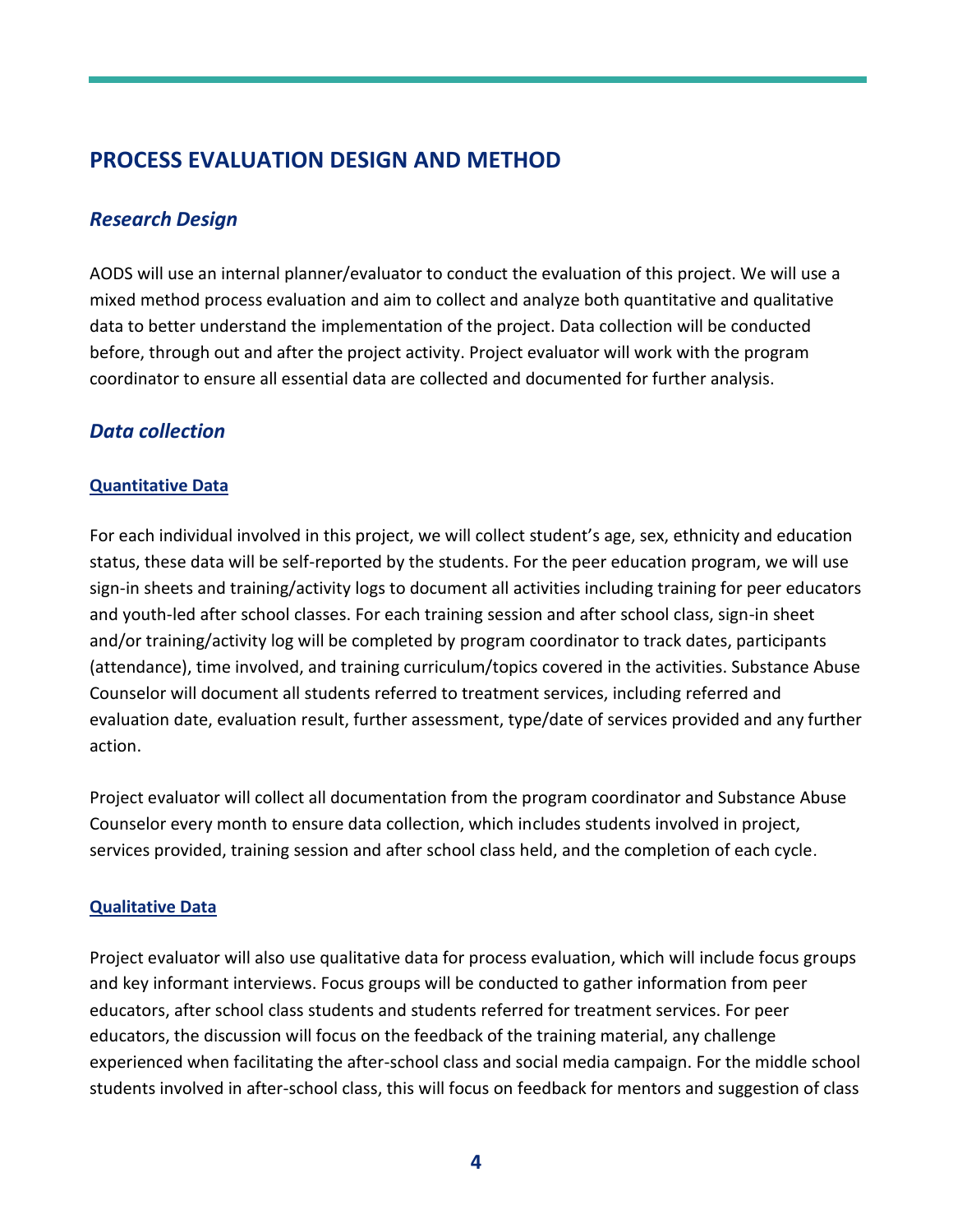# **PROCESS EVALUATION DESIGN AND METHOD**

### *Research Design*

AODS will use an internal planner/evaluator to conduct the evaluation of this project. We will use a mixed method process evaluation and aim to collect and analyze both quantitative and qualitative data to better understand the implementation of the project. Data collection will be conducted before, through out and after the project activity. Project evaluator will work with the program coordinator to ensure all essential data are collected and documented for further analysis.

### *Data collection*

#### **Quantitative Data**

For each individual involved in this project, we will collect student's age, sex, ethnicity and education status, these data will be self-reported by the students. For the peer education program, we will use sign-in sheets and training/activity logs to document all activities including training for peer educators and youth-led after school classes. For each training session and after school class, sign-in sheet and/or training/activity log will be completed by program coordinator to track dates, participants (attendance), time involved, and training curriculum/topics covered in the activities. Substance Abuse Counselor will document all students referred to treatment services, including referred and evaluation date, evaluation result, further assessment, type/date of services provided and any further action.

Project evaluator will collect all documentation from the program coordinator and Substance Abuse Counselor every month to ensure data collection, which includes students involved in project, services provided, training session and after school class held, and the completion of each cycle.

#### **Qualitative Data**

Project evaluator will also use qualitative data for process evaluation, which will include focus groups and key informant interviews. Focus groups will be conducted to gather information from peer educators, after school class students and students referred for treatment services. For peer educators, the discussion will focus on the feedback of the training material, any challenge experienced when facilitating the after-school class and social media campaign. For the middle school students involved in after-school class, this will focus on feedback for mentors and suggestion of class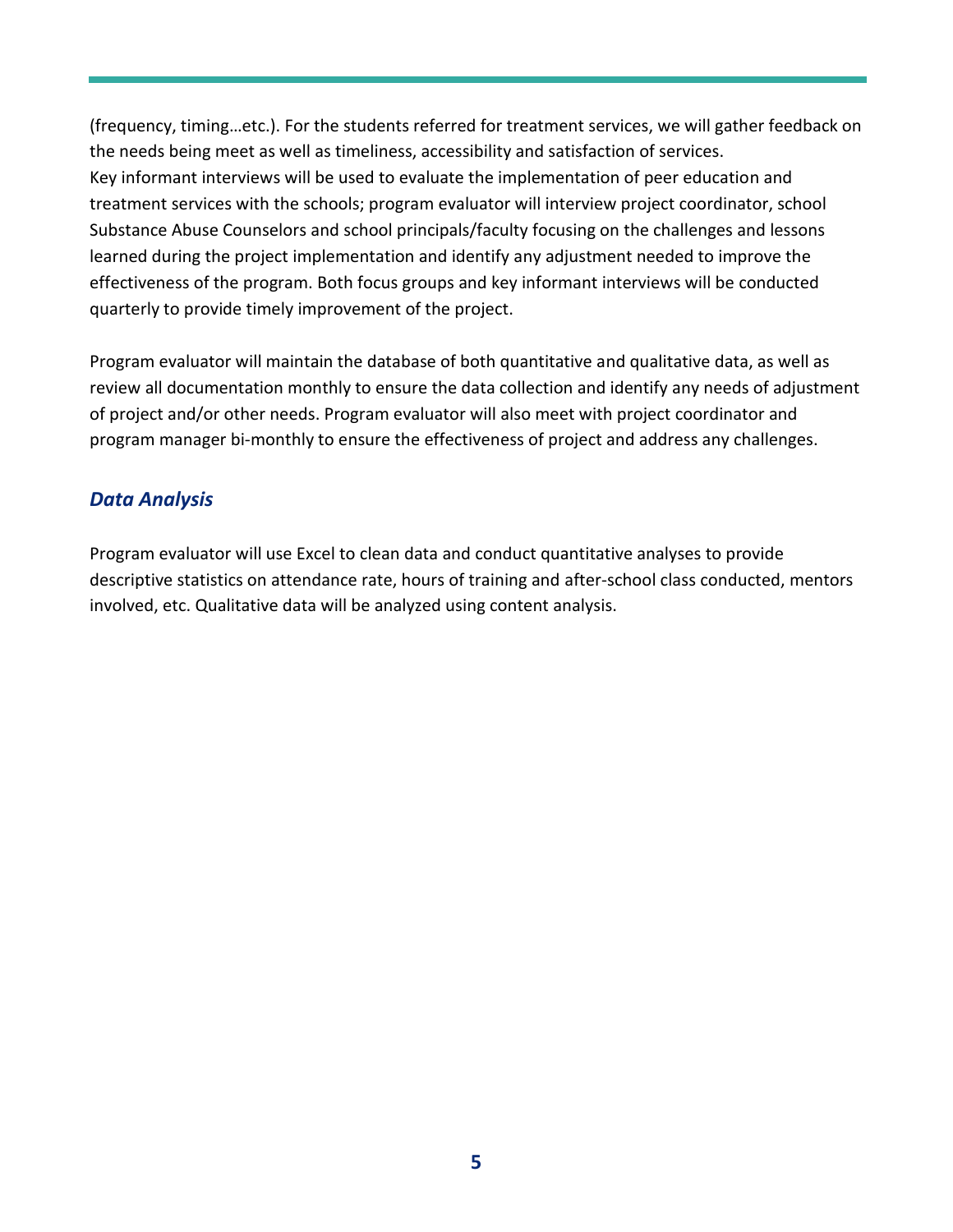(frequency, timing…etc.). For the students referred for treatment services, we will gather feedback on the needs being meet as well as timeliness, accessibility and satisfaction of services. Key informant interviews will be used to evaluate the implementation of peer education and treatment services with the schools; program evaluator will interview project coordinator, school Substance Abuse Counselors and school principals/faculty focusing on the challenges and lessons learned during the project implementation and identify any adjustment needed to improve the effectiveness of the program. Both focus groups and key informant interviews will be conducted quarterly to provide timely improvement of the project.

Program evaluator will maintain the database of both quantitative and qualitative data, as well as review all documentation monthly to ensure the data collection and identify any needs of adjustment of project and/or other needs. Program evaluator will also meet with project coordinator and program manager bi-monthly to ensure the effectiveness of project and address any challenges.

### *Data Analysis*

Program evaluator will use Excel to clean data and conduct quantitative analyses to provide descriptive statistics on attendance rate, hours of training and after-school class conducted, mentors involved, etc. Qualitative data will be analyzed using content analysis.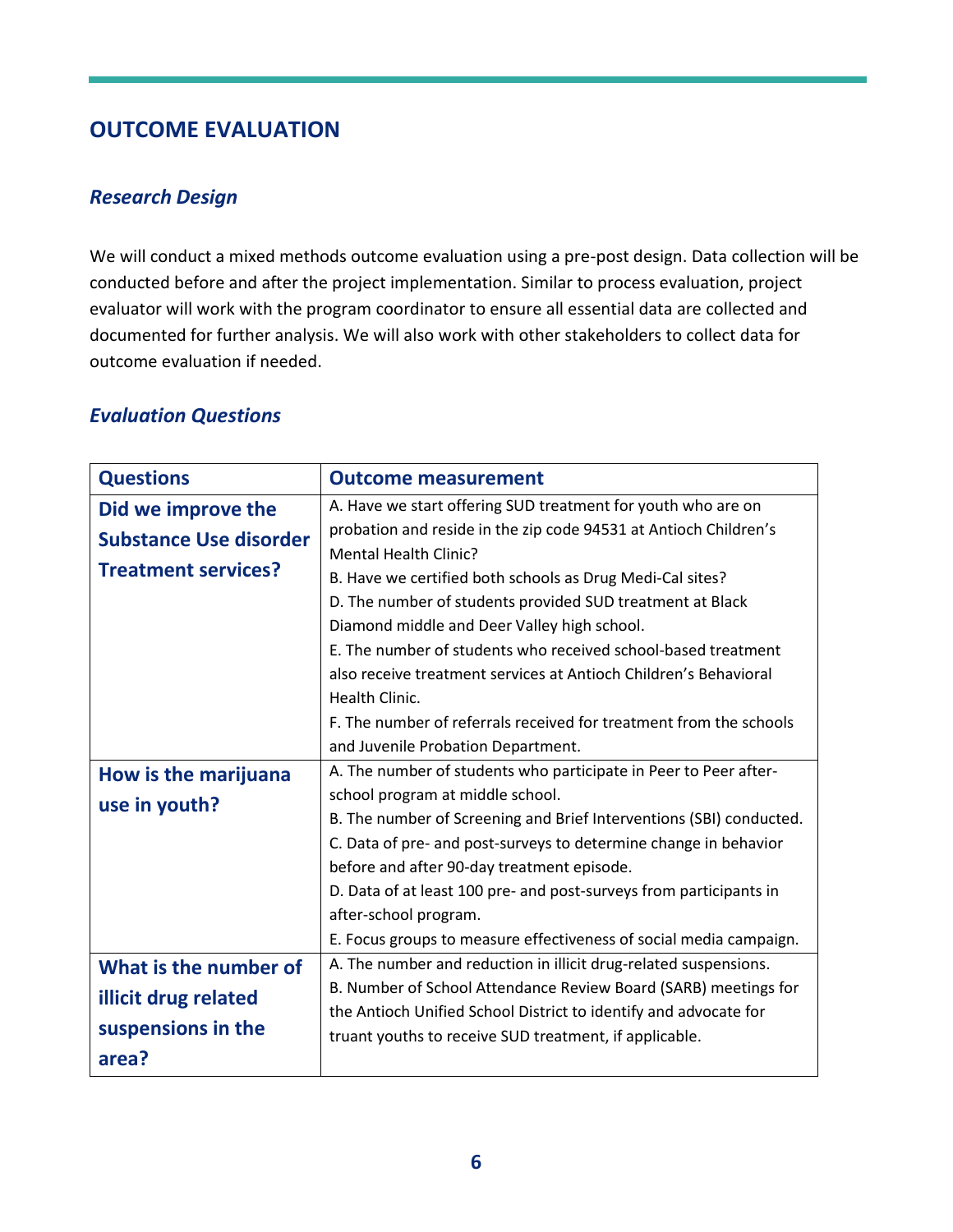# **OUTCOME EVALUATION**

### *Research Design*

We will conduct a mixed methods outcome evaluation using a pre-post design. Data collection will be conducted before and after the project implementation. Similar to process evaluation, project evaluator will work with the program coordinator to ensure all essential data are collected and documented for further analysis. We will also work with other stakeholders to collect data for outcome evaluation if needed.

### *Evaluation Questions*

| <b>Questions</b>              | <b>Outcome measurement</b>                                          |
|-------------------------------|---------------------------------------------------------------------|
| Did we improve the            | A. Have we start offering SUD treatment for youth who are on        |
| <b>Substance Use disorder</b> | probation and reside in the zip code 94531 at Antioch Children's    |
|                               | <b>Mental Health Clinic?</b>                                        |
| <b>Treatment services?</b>    | B. Have we certified both schools as Drug Medi-Cal sites?           |
|                               | D. The number of students provided SUD treatment at Black           |
|                               | Diamond middle and Deer Valley high school.                         |
|                               | E. The number of students who received school-based treatment       |
|                               | also receive treatment services at Antioch Children's Behavioral    |
|                               | <b>Health Clinic.</b>                                               |
|                               | F. The number of referrals received for treatment from the schools  |
|                               | and Juvenile Probation Department.                                  |
| How is the marijuana          | A. The number of students who participate in Peer to Peer after-    |
| use in youth?                 | school program at middle school.                                    |
|                               | B. The number of Screening and Brief Interventions (SBI) conducted. |
|                               | C. Data of pre- and post-surveys to determine change in behavior    |
|                               | before and after 90-day treatment episode.                          |
|                               | D. Data of at least 100 pre- and post-surveys from participants in  |
|                               | after-school program.                                               |
|                               | E. Focus groups to measure effectiveness of social media campaign.  |
| What is the number of         | A. The number and reduction in illicit drug-related suspensions.    |
| illicit drug related          | B. Number of School Attendance Review Board (SARB) meetings for     |
|                               | the Antioch Unified School District to identify and advocate for    |
| suspensions in the            | truant youths to receive SUD treatment, if applicable.              |
| area?                         |                                                                     |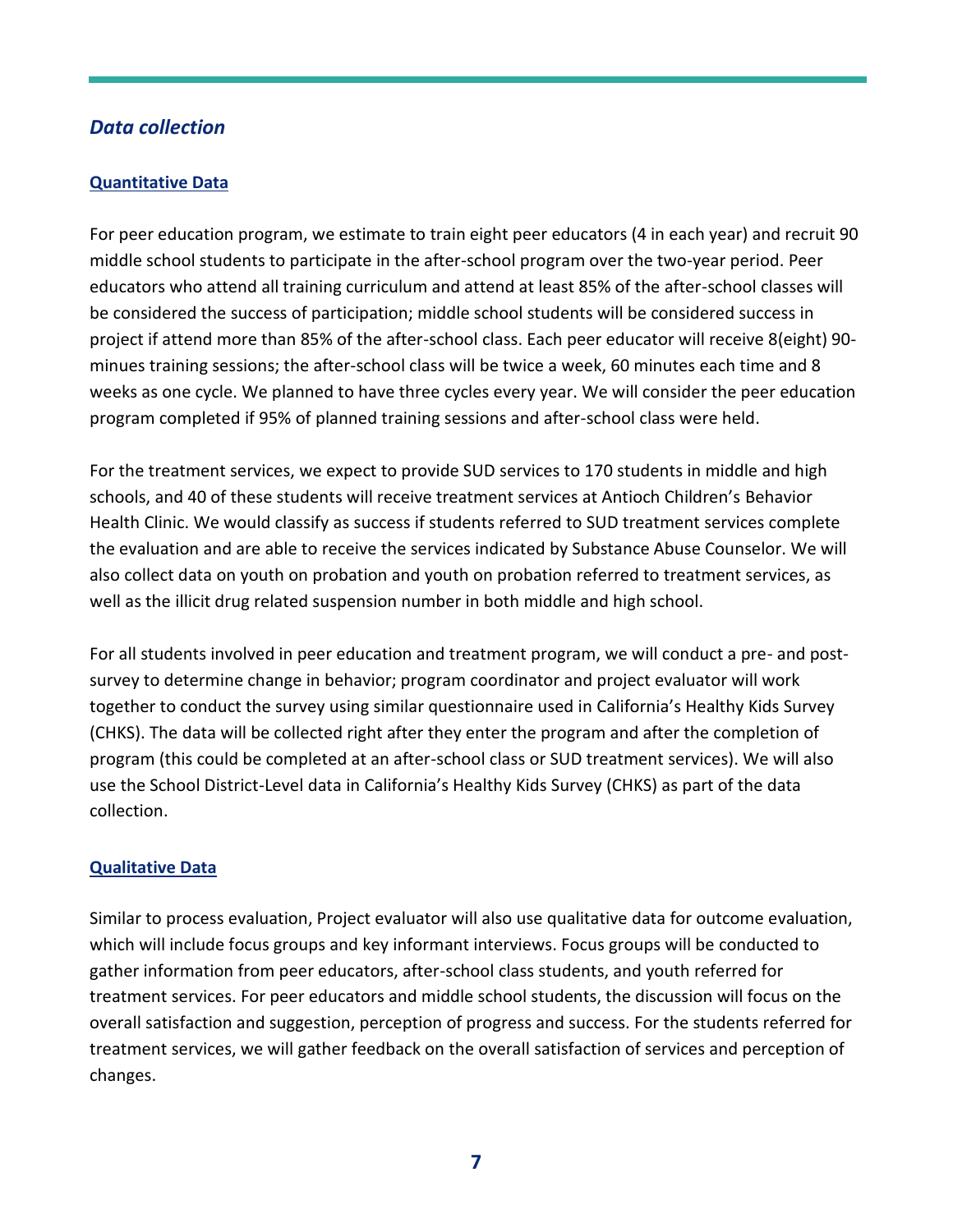### *Data collection*

#### **Quantitative Data**

For peer education program, we estimate to train eight peer educators (4 in each year) and recruit 90 middle school students to participate in the after-school program over the two-year period. Peer educators who attend all training curriculum and attend at least 85% of the after-school classes will be considered the success of participation; middle school students will be considered success in project if attend more than 85% of the after-school class. Each peer educator will receive 8(eight) 90 minues training sessions; the after-school class will be twice a week, 60 minutes each time and 8 weeks as one cycle. We planned to have three cycles every year. We will consider the peer education program completed if 95% of planned training sessions and after-school class were held.

For the treatment services, we expect to provide SUD services to 170 students in middle and high schools, and 40 of these students will receive treatment services at Antioch Children's Behavior Health Clinic. We would classify as success if students referred to SUD treatment services complete the evaluation and are able to receive the services indicated by Substance Abuse Counselor. We will also collect data on youth on probation and youth on probation referred to treatment services, as well as the illicit drug related suspension number in both middle and high school.

For all students involved in peer education and treatment program, we will conduct a pre- and postsurvey to determine change in behavior; program coordinator and project evaluator will work together to conduct the survey using similar questionnaire used in California's Healthy Kids Survey (CHKS). The data will be collected right after they enter the program and after the completion of program (this could be completed at an after-school class or SUD treatment services). We will also use the School District-Level data in California's Healthy Kids Survey (CHKS) as part of the data collection.

#### **Qualitative Data**

Similar to process evaluation, Project evaluator will also use qualitative data for outcome evaluation, which will include focus groups and key informant interviews. Focus groups will be conducted to gather information from peer educators, after-school class students, and youth referred for treatment services. For peer educators and middle school students, the discussion will focus on the overall satisfaction and suggestion, perception of progress and success. For the students referred for treatment services, we will gather feedback on the overall satisfaction of services and perception of changes.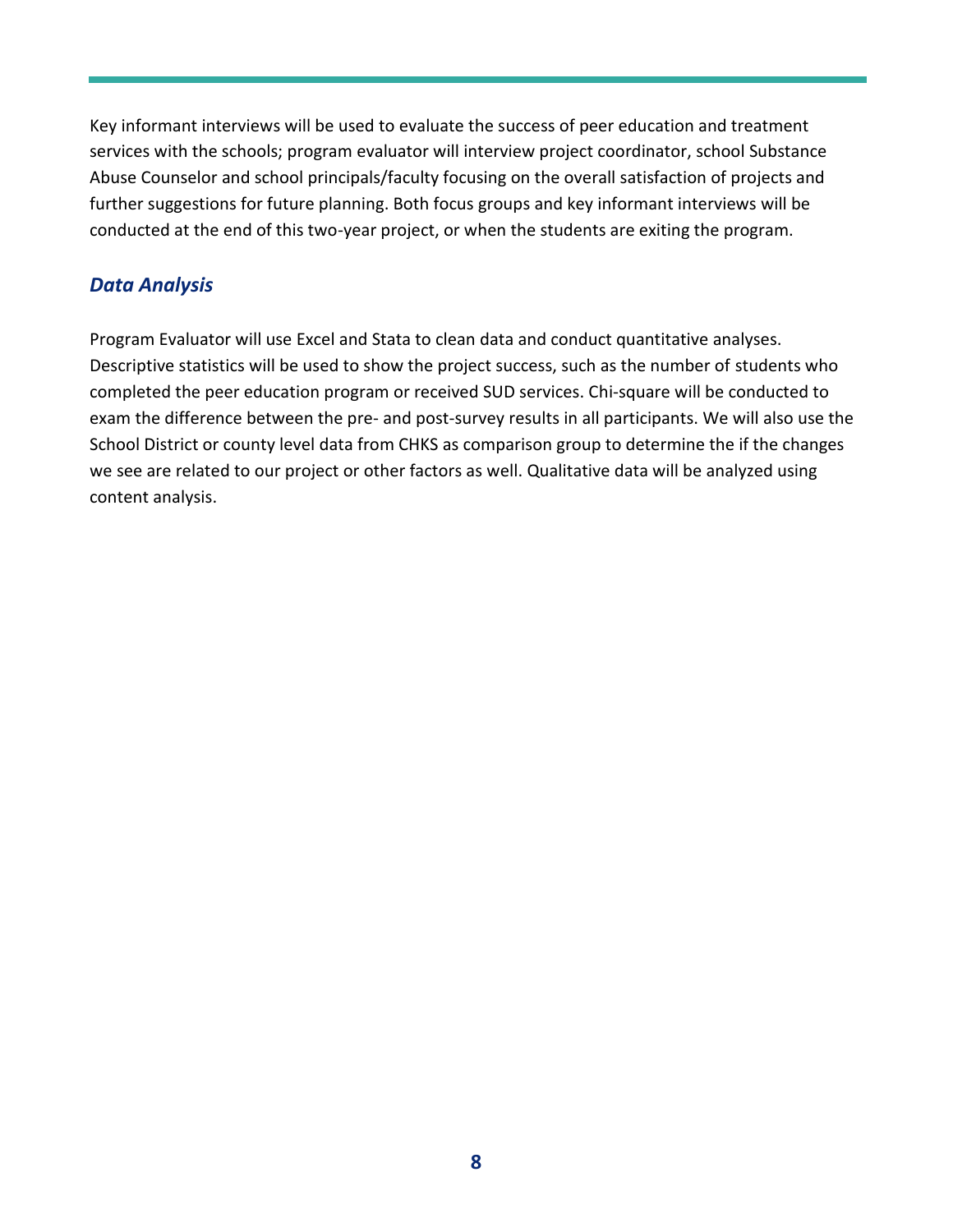Key informant interviews will be used to evaluate the success of peer education and treatment services with the schools; program evaluator will interview project coordinator, school Substance Abuse Counselor and school principals/faculty focusing on the overall satisfaction of projects and further suggestions for future planning. Both focus groups and key informant interviews will be conducted at the end of this two-year project, or when the students are exiting the program.

### *Data Analysis*

Program Evaluator will use Excel and Stata to clean data and conduct quantitative analyses. Descriptive statistics will be used to show the project success, such as the number of students who completed the peer education program or received SUD services. Chi-square will be conducted to exam the difference between the pre- and post-survey results in all participants. We will also use the School District or county level data from CHKS as comparison group to determine the if the changes we see are related to our project or other factors as well. Qualitative data will be analyzed using content analysis.